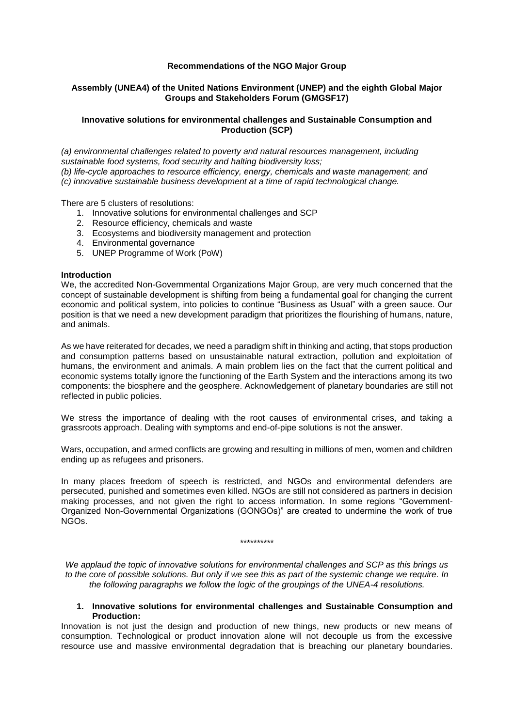### **Recommendations of the NGO Major Group**

## **Assembly (UNEA4) of the United Nations Environment (UNEP) and the eighth Global Major Groups and Stakeholders Forum (GMGSF17)**

#### **Innovative solutions for environmental challenges and Sustainable Consumption and Production (SCP)**

*(a) environmental challenges related to poverty and natural resources management, including sustainable food systems, food security and halting biodiversity loss; (b) life-cycle approaches to resource efficiency, energy, chemicals and waste management; and (c) innovative sustainable business development at a time of rapid technological change.*

There are 5 clusters of resolutions:

- 1. Innovative solutions for environmental challenges and SCP
- 2. Resource efficiency, chemicals and waste
- 3. Ecosystems and biodiversity management and protection
- 4. Environmental governance
- 5. UNEP Programme of Work (PoW)

#### **Introduction**

We, the accredited Non-Governmental Organizations Major Group, are very much concerned that the concept of sustainable development is shifting from being a fundamental goal for changing the current economic and political system, into policies to continue "Business as Usual" with a green sauce. Our position is that we need a new development paradigm that prioritizes the flourishing of humans, nature, and animals.

As we have reiterated for decades, we need a paradigm shift in thinking and acting, that stops production and consumption patterns based on unsustainable natural extraction, pollution and exploitation of humans, the environment and animals. A main problem lies on the fact that the current political and economic systems totally ignore the functioning of the Earth System and the interactions among its two components: the biosphere and the geosphere. Acknowledgement of planetary boundaries are still not reflected in public policies.

We stress the importance of dealing with the root causes of environmental crises, and taking a grassroots approach. Dealing with symptoms and end-of-pipe solutions is not the answer.

Wars, occupation, and armed conflicts are growing and resulting in millions of men, women and children ending up as refugees and prisoners.

In many places freedom of speech is restricted, and NGOs and environmental defenders are persecuted, punished and sometimes even killed. NGOs are still not considered as partners in decision making processes, and not given the right to access information. In some regions "Government-Organized Non-Governmental Organizations (GONGOs)" are created to undermine the work of true NGOs.

\*\*\*\*\*\*\*\*\*\*

*We applaud the topic of innovative solutions for environmental challenges and SCP as this brings us to the core of possible solutions. But only if we see this as part of the systemic change we require. In the following paragraphs we follow the logic of the groupings of the UNEA-4 resolutions.*

#### **1. Innovative solutions for environmental challenges and Sustainable Consumption and Production:**

Innovation is not just the design and production of new things, new products or new means of consumption. Technological or product innovation alone will not decouple us from the excessive resource use and massive environmental degradation that is breaching our planetary boundaries.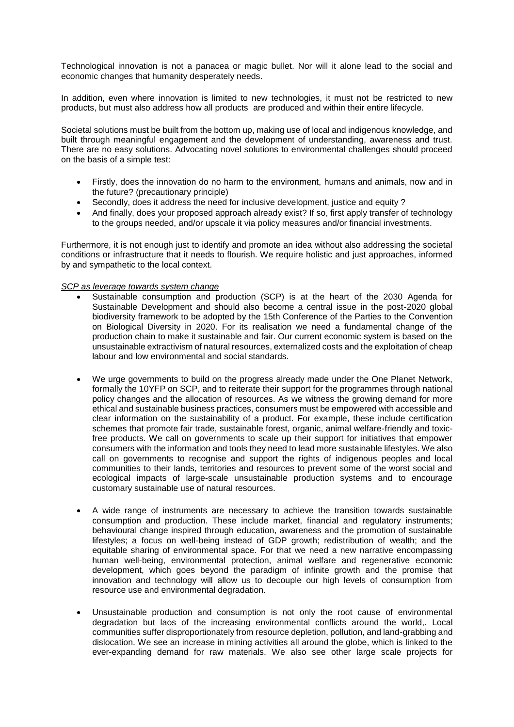Technological innovation is not a panacea or magic bullet. Nor will it alone lead to the social and economic changes that humanity desperately needs.

In addition, even where innovation is limited to new technologies, it must not be restricted to new products, but must also address how all products are produced and within their entire lifecycle.

Societal solutions must be built from the bottom up, making use of local and indigenous knowledge, and built through meaningful engagement and the development of understanding, awareness and trust. There are no easy solutions. Advocating novel solutions to environmental challenges should proceed on the basis of a simple test:

- Firstly, does the innovation do no harm to the environment, humans and animals, now and in the future? (precautionary principle)
- Secondly, does it address the need for inclusive development, justice and equity ?
- And finally, does your proposed approach already exist? If so, first apply transfer of technology to the groups needed, and/or upscale it via policy measures and/or financial investments.

Furthermore, it is not enough just to identify and promote an idea without also addressing the societal conditions or infrastructure that it needs to flourish. We require holistic and just approaches, informed by and sympathetic to the local context.

#### *SCP as leverage towards system change*

- Sustainable consumption and production (SCP) is at the heart of the 2030 Agenda for Sustainable Development and should also become a central issue in the post-2020 global biodiversity framework to be adopted by the 15th Conference of the Parties to the Convention on Biological Diversity in 2020. For its realisation we need a fundamental change of the production chain to make it sustainable and fair. Our current economic system is based on the unsustainable extractivism of natural resources, externalized costs and the exploitation of cheap labour and low environmental and social standards.
- We urge governments to build on the progress already made under the One Planet Network, formally the 10YFP on SCP, and to reiterate their support for the programmes through national policy changes and the allocation of resources. As we witness the growing demand for more ethical and sustainable business practices, consumers must be empowered with accessible and clear information on the sustainability of a product. For example, these include certification schemes that promote fair trade, sustainable forest, organic, animal welfare-friendly and toxicfree products. We call on governments to scale up their support for initiatives that empower consumers with the information and tools they need to lead more sustainable lifestyles. We also call on governments to recognise and support the rights of indigenous peoples and local communities to their lands, territories and resources to prevent some of the worst social and ecological impacts of large-scale unsustainable production systems and to encourage customary sustainable use of natural resources.
- A wide range of instruments are necessary to achieve the transition towards sustainable consumption and production. These include market, financial and regulatory instruments; behavioural change inspired through education, awareness and the promotion of sustainable lifestyles; a focus on well-being instead of GDP growth; redistribution of wealth; and the equitable sharing of environmental space. For that we need a new narrative encompassing human well-being, environmental protection, animal welfare and regenerative economic development, which goes beyond the paradigm of infinite growth and the promise that innovation and technology will allow us to decouple our high levels of consumption from resource use and environmental degradation.
- Unsustainable production and consumption is not only the root cause of environmental degradation but laos of the increasing environmental conflicts around the world,. Local communities suffer disproportionately from resource depletion, pollution, and land-grabbing and dislocation. We see an increase in mining activities all around the globe, which is linked to the ever-expanding demand for raw materials. We also see other large scale projects for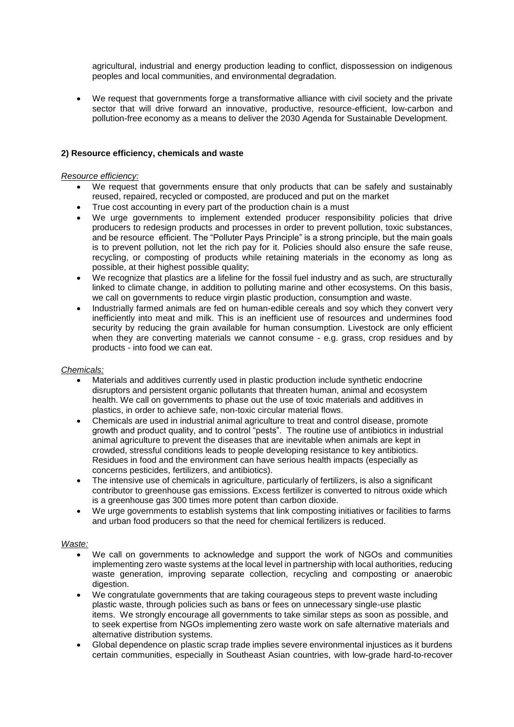agricultural, industrial and energy production leading to conflict, dispossession on indigenous peoples and local communities, and environmental degradation.

• We request that governments forge a transformative alliance with civil society and the private sector that will drive forward an innovative, productive, resource-efficient, low-carbon and pollution-free economy as a means to deliver the 2030 Agenda for Sustainable Development.

## **2) Resource efficiency, chemicals and waste**

#### *Resource efficiency:*

- We request that governments ensure that only products that can be safely and sustainably reused, repaired, recycled or composted, are produced and put on the market
- True cost accounting in every part of the production chain is a must
- We urge governments to implement extended producer responsibility policies that drive producers to redesign products and processes in order to prevent pollution, toxic substances, and be resource efficient. The "Polluter Pays Principle" is a strong principle, but the main goals is to prevent pollution, not let the rich pay for it. Policies should also ensure the safe reuse, recycling, or composting of products while retaining materials in the economy as long as possible, at their highest possible quality;
- We recognize that plastics are a lifeline for the fossil fuel industry and as such, are structurally linked to climate change, in addition to polluting marine and other ecosystems. On this basis, we call on governments to reduce virgin plastic production, consumption and waste.
- Industrially farmed animals are fed on human-edible cereals and soy which they convert very inefficiently into meat and milk. This is an inefficient use of resources and undermines food security by reducing the grain available for human consumption. Livestock are only efficient when they are converting materials we cannot consume - e.g. grass, crop residues and by products - into food we can eat.

#### *Chemicals:*

- Materials and additives currently used in plastic production include synthetic endocrine disruptors and persistent organic pollutants that threaten human, animal and ecosystem health. We call on governments to phase out the use of toxic materials and additives in plastics, in order to achieve safe, non-toxic circular material flows.
- Chemicals are used in industrial animal agriculture to treat and control disease, promote growth and product quality, and to control "pests". The routine use of antibiotics in industrial animal agriculture to prevent the diseases that are inevitable when animals are kept in crowded, stressful conditions leads to people developing resistance to key antibiotics. Residues in food and the environment can have serious health impacts (especially as concerns pesticides, fertilizers, and antibiotics).
- The intensive use of chemicals in agriculture, particularly of fertilizers, is also a significant contributor to greenhouse gas emissions. Excess fertilizer is converted to nitrous oxide which is a greenhouse gas 300 times more potent than carbon dioxide.
- We urge governments to establish systems that link composting initiatives or facilities to farms and urban food producers so that the need for chemical fertilizers is reduced.

## *Waste:*

- We call on governments to acknowledge and support the work of NGOs and communities implementing zero waste systems at the local level in partnership with local authorities, reducing waste generation, improving separate collection, recycling and composting or anaerobic digestion.
- We congratulate governments that are taking courageous steps to prevent waste including plastic waste, through policies such as bans or fees on unnecessary single-use plastic items. We strongly encourage all governments to take similar steps as soon as possible, and to seek expertise from NGOs implementing zero waste work on safe alternative materials and alternative distribution systems.
- Global dependence on plastic scrap trade implies severe environmental injustices as it burdens certain communities, especially in Southeast Asian countries, with low-grade hard-to-recover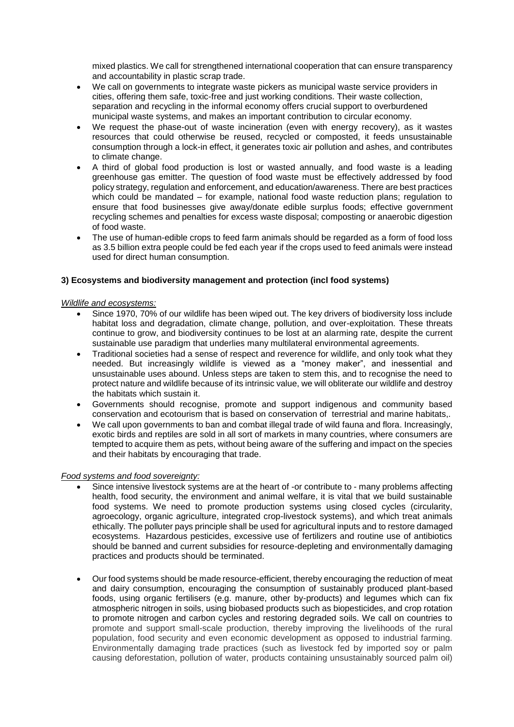mixed plastics. We call for strengthened international cooperation that can ensure transparency and accountability in plastic scrap trade.

- We call on governments to integrate waste pickers as municipal waste service providers in cities, offering them safe, toxic-free and just working conditions. Their waste collection, separation and recycling in the informal economy offers crucial support to overburdened municipal waste systems, and makes an important contribution to circular economy.
- We request the phase-out of waste incineration (even with energy recovery), as it wastes resources that could otherwise be reused, recycled or composted, it feeds unsustainable consumption through a lock-in effect, it generates toxic air pollution and ashes, and contributes to climate change.
- A third of global food production is lost or wasted annually, and food waste is a leading greenhouse gas emitter. The question of food waste must be effectively addressed by food policy strategy, regulation and enforcement, and education/awareness. There are best practices which could be mandated – for example, national food waste reduction plans; regulation to ensure that food businesses give away/donate edible surplus foods; effective government recycling schemes and penalties for excess waste disposal; composting or anaerobic digestion of food waste.
- The use of human-edible crops to feed farm animals should be regarded as a form of food loss as 3.5 billion extra people could be fed each year if the crops used to feed animals were instead used for direct human consumption.

## **3) Ecosystems and biodiversity management and protection (incl food systems)**

#### *Wildlife and ecosystems:*

- Since 1970, 70% of our wildlife has been wiped out. The key drivers of biodiversity loss include habitat loss and degradation, climate change, pollution, and over-exploitation. These threats continue to grow, and biodiversity continues to be lost at an alarming rate, despite the current sustainable use paradigm that underlies many multilateral environmental agreements.
- Traditional societies had a sense of respect and reverence for wildlife, and only took what they needed. But increasingly wildlife is viewed as a "money maker", and inessential and unsustainable uses abound. Unless steps are taken to stem this, and to recognise the need to protect nature and wildlife because of its intrinsic value, we will obliterate our wildlife and destroy the habitats which sustain it.
- Governments should recognise, promote and support indigenous and community based conservation and ecotourism that is based on conservation of terrestrial and marine habitats,.
- We call upon governments to ban and combat illegal trade of wild fauna and flora. Increasingly, exotic birds and reptiles are sold in all sort of markets in many countries, where consumers are tempted to acquire them as pets, without being aware of the suffering and impact on the species and their habitats by encouraging that trade.

#### *Food systems and food sovereignty:*

- Since intensive livestock systems are at the heart of -or contribute to many problems affecting health, food security, the environment and animal welfare, it is vital that we build sustainable food systems. We need to promote production systems using closed cycles (circularity, agroecology, organic agriculture, integrated crop-livestock systems), and which treat animals ethically. The polluter pays principle shall be used for agricultural inputs and to restore damaged ecosystems. Hazardous pesticides, excessive use of fertilizers and routine use of antibiotics should be banned and current subsidies for resource-depleting and environmentally damaging practices and products should be terminated.
- Our food systems should be made resource-efficient, thereby encouraging the reduction of meat and dairy consumption, encouraging the consumption of sustainably produced plant-based foods, using organic fertilisers (e.g. manure, other by-products) and legumes which can fix atmospheric nitrogen in soils, using biobased products such as biopesticides, and crop rotation to promote nitrogen and carbon cycles and restoring degraded soils. We call on countries to promote and support small-scale production, thereby improving the livelihoods of the rural population, food security and even economic development as opposed to industrial farming. Environmentally damaging trade practices (such as livestock fed by imported soy or palm causing deforestation, pollution of water, products containing unsustainably sourced palm oil)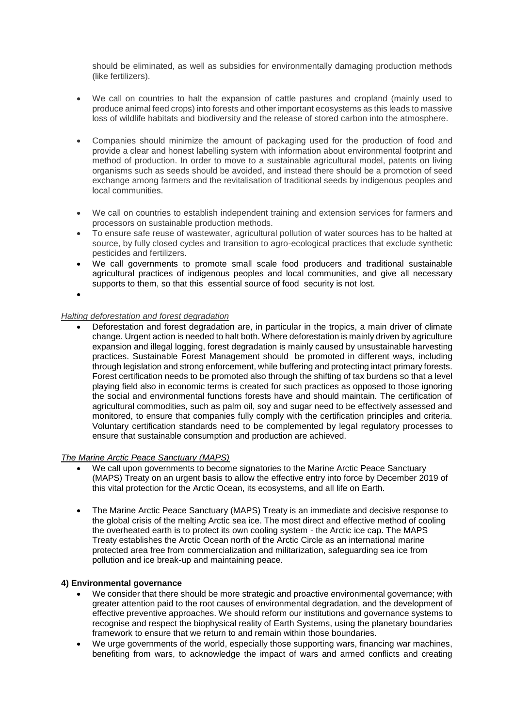should be eliminated, as well as subsidies for environmentally damaging production methods (like fertilizers).

- We call on countries to halt the expansion of cattle pastures and cropland (mainly used to produce animal feed crops) into forests and other important ecosystems as this leads to massive loss of wildlife habitats and biodiversity and the release of stored carbon into the atmosphere.
- Companies should minimize the amount of packaging used for the production of food and provide a clear and honest labelling system with information about environmental footprint and method of production. In order to move to a sustainable agricultural model, patents on living organisms such as seeds should be avoided, and instead there should be a promotion of seed exchange among farmers and the revitalisation of traditional seeds by indigenous peoples and local communities.
- We call on countries to establish independent training and extension services for farmers and processors on sustainable production methods.
- To ensure safe reuse of wastewater, agricultural pollution of water sources has to be halted at source, by fully closed cycles and transition to agro-ecological practices that exclude synthetic pesticides and fertilizers.
- We call governments to promote small scale food producers and traditional sustainable agricultural practices of indigenous peoples and local communities, and give all necessary supports to them, so that this essential source of food security is not lost.

•

#### *Halting deforestation and forest degradation*

• Deforestation and forest degradation are, in particular in the tropics, a main driver of climate change. Urgent action is needed to halt both. Where deforestation is mainly driven by agriculture expansion and illegal logging, forest degradation is mainly caused by unsustainable harvesting practices. Sustainable Forest Management should be promoted in different ways, including through legislation and strong enforcement, while buffering and protecting intact primary forests. Forest certification needs to be promoted also through the shifting of tax burdens so that a level playing field also in economic terms is created for such practices as opposed to those ignoring the social and environmental functions forests have and should maintain. The certification of agricultural commodities, such as palm oil, soy and sugar need to be effectively assessed and monitored, to ensure that companies fully comply with the certification principles and criteria. Voluntary certification standards need to be complemented by legal regulatory processes to ensure that sustainable consumption and production are achieved.

#### *The Marine Arctic Peace Sanctuary (MAPS)*

- We call upon governments to become signatories to the Marine Arctic Peace Sanctuary (MAPS) Treaty on an urgent basis to allow the effective entry into force by December 2019 of this vital protection for the Arctic Ocean, its ecosystems, and all life on Earth.
- The Marine Arctic Peace Sanctuary (MAPS) Treaty is an immediate and decisive response to the global crisis of the melting Arctic sea ice. The most direct and effective method of cooling the overheated earth is to protect its own cooling system - the Arctic ice cap. The MAPS Treaty establishes the Arctic Ocean north of the Arctic Circle as an international marine protected area free from commercialization and militarization, safeguarding sea ice from pollution and ice break-up and maintaining peace.

#### **4) Environmental governance**

- We consider that there should be more strategic and proactive environmental governance; with greater attention paid to the root causes of environmental degradation, and the development of effective preventive approaches. We should reform our institutions and governance systems to recognise and respect the biophysical reality of Earth Systems, using the planetary boundaries framework to ensure that we return to and remain within those boundaries.
- We urge governments of the world, especially those supporting wars, financing war machines, benefiting from wars, to acknowledge the impact of wars and armed conflicts and creating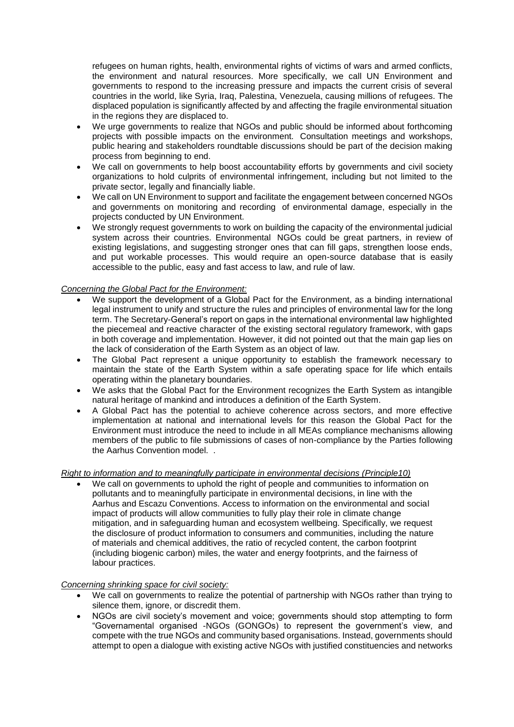refugees on human rights, health, environmental rights of victims of wars and armed conflicts, the environment and natural resources. More specifically, we call UN Environment and governments to respond to the increasing pressure and impacts the current crisis of several countries in the world, like Syria, Iraq, Palestina, Venezuela, causing millions of refugees. The displaced population is significantly affected by and affecting the fragile environmental situation in the regions they are displaced to.

- We urge governments to realize that NGOs and public should be informed about forthcoming projects with possible impacts on the environment. Consultation meetings and workshops, public hearing and stakeholders roundtable discussions should be part of the decision making process from beginning to end.
- We call on governments to help boost accountability efforts by governments and civil society organizations to hold culprits of environmental infringement, including but not limited to the private sector, legally and financially liable.
- We call on UN Environment to support and facilitate the engagement between concerned NGOs and governments on monitoring and recording of environmental damage, especially in the projects conducted by UN Environment.
- We strongly request governments to work on building the capacity of the environmental judicial system across their countries. Environmental NGOs could be great partners, in review of existing legislations, and suggesting stronger ones that can fill gaps, strengthen loose ends, and put workable processes. This would require an open-source database that is easily accessible to the public, easy and fast access to law, and rule of law.

# *Concerning the Global Pact for the Environment:*

- We support the development of a Global Pact for the Environment, as a binding international legal instrument to unify and structure the rules and principles of environmental law for the long term. The Secretary-General's report on gaps in the international environmental law highlighted the piecemeal and reactive character of the existing sectoral regulatory framework, with gaps in both coverage and implementation. However, it did not pointed out that the main gap lies on the lack of consideration of the Earth System as an object of law.
- The Global Pact represent a unique opportunity to establish the framework necessary to maintain the state of the Earth System within a safe operating space for life which entails operating within the planetary boundaries.
- We asks that the Global Pact for the Environment recognizes the Earth System as intangible natural heritage of mankind and introduces a definition of the Earth System.
- A Global Pact has the potential to achieve coherence across sectors, and more effective implementation at national and international levels for this reason the Global Pact for the Environment must introduce the need to include in all MEAs compliance mechanisms allowing members of the public to file submissions of cases of non-compliance by the Parties following the Aarhus Convention model. .

## *Right to information and to meaningfully participate in environmental decisions (Principle10)*

We call on governments to uphold the right of people and communities to information on pollutants and to meaningfully participate in environmental decisions, in line with the Aarhus and Escazu Conventions. Access to information on the environmental and social impact of products will allow communities to fully play their role in climate change mitigation, and in safeguarding human and ecosystem wellbeing. Specifically, we request the disclosure of product information to consumers and communities, including the nature of materials and chemical additives, the ratio of recycled content, the carbon footprint (including biogenic carbon) miles, the water and energy footprints, and the fairness of labour practices.

## *Concerning shrinking space for civil society:*

- We call on governments to realize the potential of partnership with NGOs rather than trying to silence them, ignore, or discredit them.
- NGOs are civil society's movement and voice; governments should stop attempting to form "Governamental organised -NGOs (GONGOs) to represent the government's view, and compete with the true NGOs and community based organisations. Instead, governments should attempt to open a dialogue with existing active NGOs with justified constituencies and networks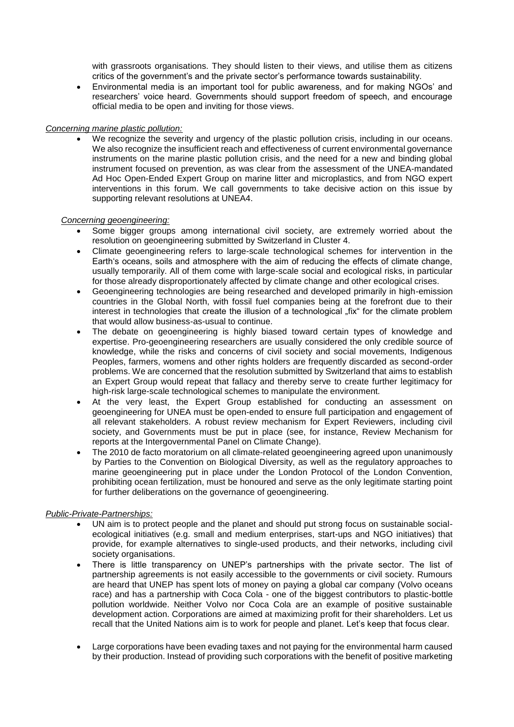with grassroots organisations. They should listen to their views, and utilise them as citizens critics of the government's and the private sector's performance towards sustainability.

• Environmental media is an important tool for public awareness, and for making NGOs' and researchers' voice heard. Governments should support freedom of speech, and encourage official media to be open and inviting for those views.

## *Concerning marine plastic pollution:*

• We recognize the severity and urgency of the plastic pollution crisis, including in our oceans. We also recognize the insufficient reach and effectiveness of current environmental governance instruments on the marine plastic pollution crisis, and the need for a new and binding global instrument focused on prevention, as was clear from the assessment of the UNEA-mandated Ad Hoc Open-Ended Expert Group on marine litter and microplastics, and from NGO expert interventions in this forum. We call governments to take decisive action on this issue by supporting relevant resolutions at UNEA4.

## *Concerning geoengineering:*

- Some bigger groups among international civil society, are extremely worried about the resolution on geoengineering submitted by Switzerland in Cluster 4.
- Climate geoengineering refers to large-scale technological schemes for intervention in the Earth's oceans, soils and atmosphere with the aim of reducing the effects of climate change, usually temporarily. All of them come with large-scale social and ecological risks, in particular for those already disproportionately affected by climate change and other ecological crises.
- Geoengineering technologies are being researched and developed primarily in high-emission countries in the Global North, with fossil fuel companies being at the forefront due to their interest in technologies that create the illusion of a technological "fix" for the climate problem that would allow business-as-usual to continue.
- The debate on geoengineering is highly biased toward certain types of knowledge and expertise. Pro-geoengineering researchers are usually considered the only credible source of knowledge, while the risks and concerns of civil society and social movements, Indigenous Peoples, farmers, womens and other rights holders are frequently discarded as second-order problems. We are concerned that the resolution submitted by Switzerland that aims to establish an Expert Group would repeat that fallacy and thereby serve to create further legitimacy for high-risk large-scale technological schemes to manipulate the environment.
- At the very least, the Expert Group established for conducting an assessment on geoengineering for UNEA must be open-ended to ensure full participation and engagement of all relevant stakeholders. A robust review mechanism for Expert Reviewers, including civil society, and Governments must be put in place (see, for instance, Review Mechanism for reports at the Intergovernmental Panel on Climate Change).
- The 2010 de facto moratorium on all climate-related geoengineering agreed upon unanimously by Parties to the Convention on Biological Diversity, as well as the regulatory approaches to marine geoengineering put in place under the London Protocol of the London Convention, prohibiting ocean fertilization, must be honoured and serve as the only legitimate starting point for further deliberations on the governance of geoengineering.

## *Public-Private-Partnerships:*

- UN aim is to protect people and the planet and should put strong focus on sustainable socialecological initiatives (e.g. small and medium enterprises, start-ups and NGO initiatives) that provide, for example alternatives to single-used products, and their networks, including civil society organisations.
- There is little transparency on UNEP's partnerships with the private sector. The list of partnership agreements is not easily accessible to the governments or civil society. Rumours are heard that UNEP has spent lots of money on paying a global car company (Volvo oceans race) and has a partnership with Coca Cola - one of the biggest contributors to plastic-bottle pollution worldwide. Neither Volvo nor Coca Cola are an example of positive sustainable development action. Corporations are aimed at maximizing profit for their shareholders. Let us recall that the United Nations aim is to work for people and planet. Let's keep that focus clear.
- Large corporations have been evading taxes and not paying for the environmental harm caused by their production. Instead of providing such corporations with the benefit of positive marketing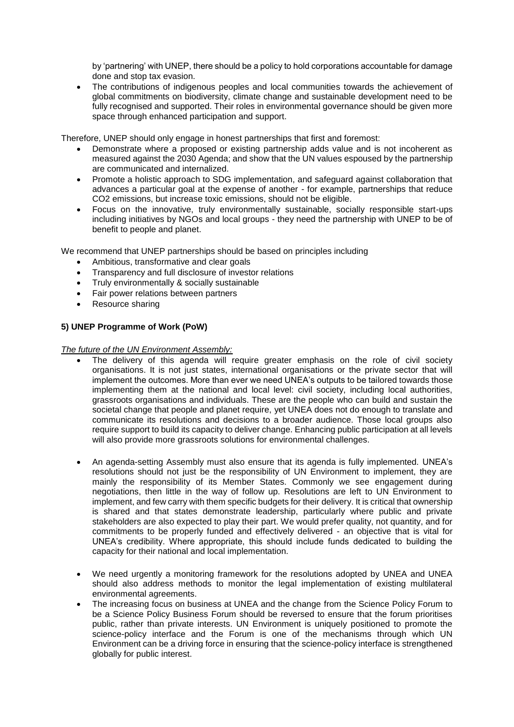by 'partnering' with UNEP, there should be a policy to hold corporations accountable for damage done and stop tax evasion.

The contributions of indigenous peoples and local communities towards the achievement of global commitments on biodiversity, climate change and sustainable development need to be fully recognised and supported. Their roles in environmental governance should be given more space through enhanced participation and support.

Therefore, UNEP should only engage in honest partnerships that first and foremost:

- Demonstrate where a proposed or existing partnership adds value and is not incoherent as measured against the 2030 Agenda; and show that the UN values espoused by the partnership are communicated and internalized.
- Promote a holistic approach to SDG implementation, and safeguard against collaboration that advances a particular goal at the expense of another - for example, partnerships that reduce CO2 emissions, but increase toxic emissions, should not be eligible.
- Focus on the innovative, truly environmentally sustainable, socially responsible start-ups including initiatives by NGOs and local groups - they need the partnership with UNEP to be of benefit to people and planet.

We recommend that UNEP partnerships should be based on principles including

- Ambitious, transformative and clear goals
- Transparency and full disclosure of investor relations
- Truly environmentally & socially sustainable
- Fair power relations between partners
- Resource sharing

## **5) UNEP Programme of Work (PoW)**

*The future of the UN Environment Assembly:*

- The delivery of this agenda will require greater emphasis on the role of civil society organisations. It is not just states, international organisations or the private sector that will implement the outcomes. More than ever we need UNEA's outputs to be tailored towards those implementing them at the national and local level: civil society, including local authorities, grassroots organisations and individuals. These are the people who can build and sustain the societal change that people and planet require, yet UNEA does not do enough to translate and communicate its resolutions and decisions to a broader audience. Those local groups also require support to build its capacity to deliver change. Enhancing public participation at all levels will also provide more grassroots solutions for environmental challenges.
- An agenda-setting Assembly must also ensure that its agenda is fully implemented. UNEA's resolutions should not just be the responsibility of UN Environment to implement, they are mainly the responsibility of its Member States. Commonly we see engagement during negotiations, then little in the way of follow up. Resolutions are left to UN Environment to implement, and few carry with them specific budgets for their delivery. It is critical that ownership is shared and that states demonstrate leadership, particularly where public and private stakeholders are also expected to play their part. We would prefer quality, not quantity, and for commitments to be properly funded and effectively delivered - an objective that is vital for UNEA's credibility. Where appropriate, this should include funds dedicated to building the capacity for their national and local implementation.
- We need urgently a monitoring framework for the resolutions adopted by UNEA and UNEA should also address methods to monitor the legal implementation of existing multilateral environmental agreements.
- The increasing focus on business at UNEA and the change from the Science Policy Forum to be a Science Policy Business Forum should be reversed to ensure that the forum prioritises public, rather than private interests. UN Environment is uniquely positioned to promote the science-policy interface and the Forum is one of the mechanisms through which UN Environment can be a driving force in ensuring that the science-policy interface is strengthened globally for public interest.